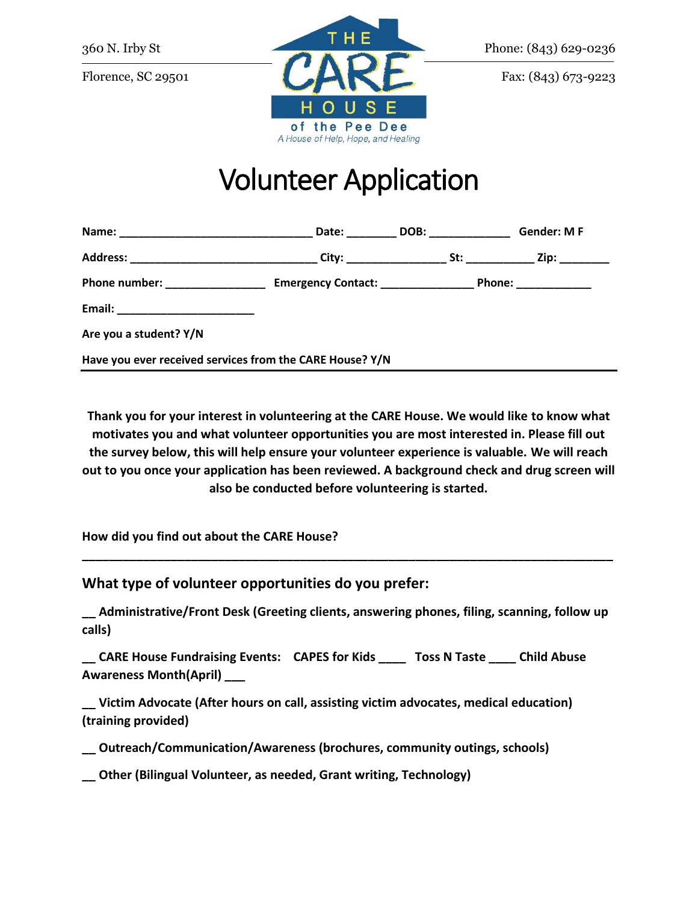

## Volunteer Application

|                                                          | Date:                              | DOB: the contract of the contract of the contract of the contract of the contract of the contract of the contract of the contract of the contract of the contract of the contract of the contract of the contract of the contr | <b>Gender: MF</b>     |
|----------------------------------------------------------|------------------------------------|--------------------------------------------------------------------------------------------------------------------------------------------------------------------------------------------------------------------------------|-----------------------|
| Address: ________________________________                | City: _____________                |                                                                                                                                                                                                                                | Zip: _______          |
| Phone number: _______________                            | Emergency Contact: _______________ |                                                                                                                                                                                                                                | Phone: ______________ |
|                                                          |                                    |                                                                                                                                                                                                                                |                       |
| Are you a student? Y/N                                   |                                    |                                                                                                                                                                                                                                |                       |
| Have you ever received services from the CARE House? Y/N |                                    |                                                                                                                                                                                                                                |                       |

**Thank you for your interest in volunteering at the CARE House. We would like to know what motivates you and what volunteer opportunities you are most interested in. Please fill out the survey below, this will help ensure your volunteer experience is valuable. We will reach out to you once your application has been reviewed. A background check and drug screen will also be conducted before volunteering is started.**

**How did you find out about the CARE House?** 

**What type of volunteer opportunities do you prefer:**

**\_\_ Administrative/Front Desk (Greeting clients, answering phones, filing, scanning, follow up calls)**

**\_\_\_\_\_\_\_\_\_\_\_\_\_\_\_\_\_\_\_\_\_\_\_\_\_\_\_\_\_\_\_\_\_\_\_\_\_\_\_\_\_\_\_\_\_\_\_\_\_\_\_\_\_\_\_\_\_\_\_\_\_\_\_\_\_\_\_\_\_\_\_\_\_\_\_\_\_\_**

**\_\_ CARE House Fundraising Events: CAPES for Kids \_\_\_\_ Toss N Taste \_\_\_\_ Child Abuse Awareness Month(April) \_\_\_**

**\_\_ Victim Advocate (After hours on call, assisting victim advocates, medical education) (training provided)**

**\_\_ Outreach/Communication/Awareness (brochures, community outings, schools)**

**\_\_ Other (Bilingual Volunteer, as needed, Grant writing, Technology)**